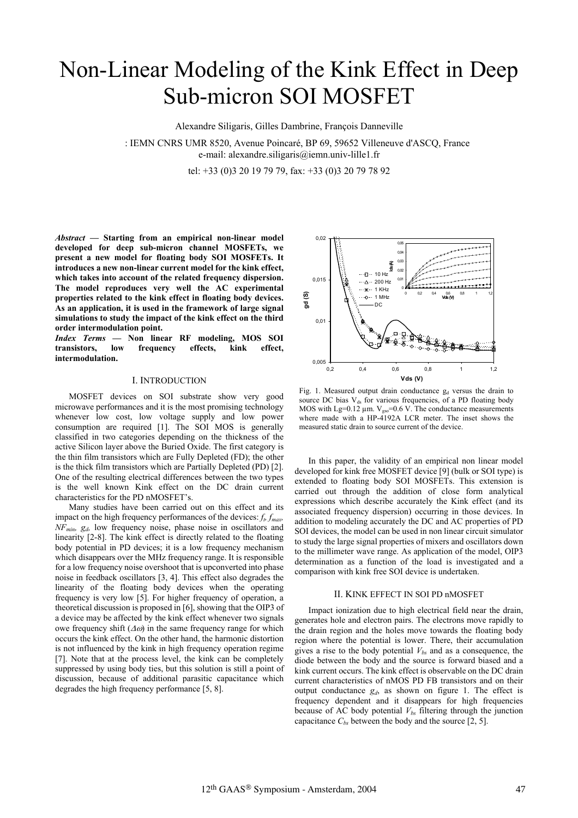# Non-Linear Modeling of the Kink Effect in Deep Sub-micron SOI MOSFET

Alexandre Siligaris, Gilles Dambrine, François Danneville

: IEMN CNRS UMR 8520, Avenue Poincaré, BP 69, 59652 Villeneuve d'ASCQ, France e-mail: alexandre.siligaris@iemn.univ-lille1.fr

tel: +33 (0)3 20 19 79 79, fax: +33 (0)3 20 79 78 92

*Abstract —* **Starting from an empirical non-linear model developed for deep sub-micron channel MOSFETs, we present a new model for floating body SOI MOSFETs. It introduces a new non-linear current model for the kink effect, which takes into account of the related frequency dispersion. The model reproduces very well the AC experimental properties related to the kink effect in floating body devices. As an application, it is used in the framework of large signal simulations to study the impact of the kink effect on the third order intermodulation point.** 

*Index Terms —* **Non linear RF modeling, MOS SOI transistors, low frequency effects, kink effect, intermodulation.** 

## I. INTRODUCTION

MOSFET devices on SOI substrate show very good microwave performances and it is the most promising technology whenever low cost, low voltage supply and low power consumption are required [1]. The SOI MOS is generally classified in two categories depending on the thickness of the active Silicon layer above the Buried Oxide. The first category is the thin film transistors which are Fully Depleted (FD); the other is the thick film transistors which are Partially Depleted (PD) [2]. One of the resulting electrical differences between the two types is the well known Kink effect on the DC drain current characteristics for the PD nMOSFET's.

Many studies have been carried out on this effect and its impact on the high frequency performances of the devices: *f<sub>t</sub> f<sub>max</sub> NFmin, gd,* low frequency noise, phase noise in oscillators and linearity [2-8]. The kink effect is directly related to the floating body potential in PD devices; it is a low frequency mechanism which disappears over the MHz frequency range. It is responsible for a low frequency noise overshoot that is upconverted into phase noise in feedback oscillators [3, 4]. This effect also degrades the linearity of the floating body devices when the operating frequency is very low [5]. For higher frequency of operation, a theoretical discussion is proposed in [6], showing that the OIP3 of a device may be affected by the kink effect whenever two signals owe frequency shift  $(\Delta \omega)$  in the same frequency range for which occurs the kink effect. On the other hand, the harmonic distortion is not influenced by the kink in high frequency operation regime [7]. Note that at the process level, the kink can be completely suppressed by using body ties, but this solution is still a point of discussion, because of additional parasitic capacitance which degrades the high frequency performance [5, 8].



Fig. 1. Measured output drain conductance  $g_d$  versus the drain to source DC bias V<sub>ds</sub> for various frequencies, of a PD floating body MOS with Lg= $0.12 \mu m$ . V<sub>gso</sub>= $0.6 \text{ V}$ . The conductance measurements where made with a HP-4192A LCR meter. The inset shows the measured static drain to source current of the device.

In this paper, the validity of an empirical non linear model developed for kink free MOSFET device [9] (bulk or SOI type) is extended to floating body SOI MOSFETs. This extension is carried out through the addition of close form analytical expressions which describe accurately the Kink effect (and its associated frequency dispersion) occurring in those devices. In addition to modeling accurately the DC and AC properties of PD SOI devices, the model can be used in non linear circuit simulator to study the large signal properties of mixers and oscillators down to the millimeter wave range. As application of the model, OIP3 determination as a function of the load is investigated and a comparison with kink free SOI device is undertaken.

#### II. KINK EFFECT IN SOI PD nMOSFET

Impact ionization due to high electrical field near the drain, generates hole and electron pairs. The electrons move rapidly to the drain region and the holes move towards the floating body region where the potential is lower. There, their accumulation gives a rise to the body potential  $V_{bs}$  and as a consequence, the diode between the body and the source is forward biased and a kink current occurs. The kink effect is observable on the DC drain current characteristics of nMOS PD FB transistors and on their output conductance  $g_d$ , as shown on figure 1. The effect is frequency dependent and it disappears for high frequencies because of AC body potential  $V_{bs}$  filtering through the junction capacitance  $C_{bs}$  between the body and the source [2, 5].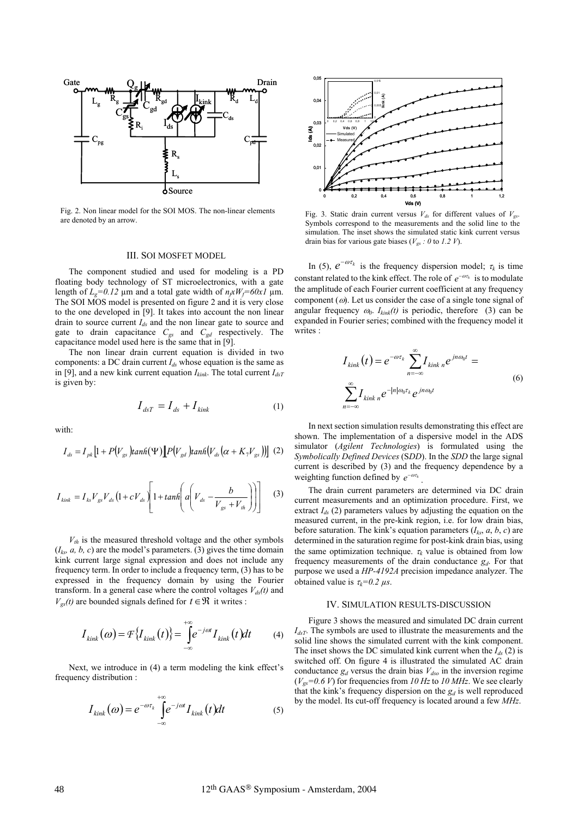

Fig. 2. Non linear model for the SOI MOS. The non-linear elements are denoted by an arrow.

#### III. SOI MOSFET MODEL

The component studied and used for modeling is a PD floating body technology of ST microelectronics, with a gate length of  $L_g=0.12$  µm and a total gate width of  $n_f xW_f=60x1$  µm. The SOI MOS model is presented on figure 2 and it is very close to the one developed in [9]. It takes into account the non linear drain to source current *Ids* and the non linear gate to source and gate to drain capacitance *Cgs* and *Cgd* respectively. The capacitance model used here is the same that in [9].

The non linear drain current equation is divided in two components: a DC drain current  $I_{ds}$  whose equation is the same as in [9], and a new kink current equation  $I_{kink}$ . The total current  $I_{dsT}$ is given by:

$$
I_{dsT} = I_{ds} + I_{kink} \tag{1}
$$

with:

$$
I_{ds} = I_{pk} \left[ 1 + P(V_{gs}) \tanh(\Psi) \right] P(V_{gd}) \tanh(V_{ds} \left( \alpha + K_{\gamma} V_{gs}) \right) \tag{2}
$$

$$
I_{kink} = I_{ks} V_{gs} V_{ds} \left( 1 + c V_{ds} \right) \left[ 1 + tanh \left( a \left( V_{ds} - \frac{b}{V_{gs} + V_{th}} \right) \right) \right]
$$
 (3)

 $V_{th}$  is the measured threshold voltage and the other symbols  $(I<sub>ks</sub>, a, b, c)$  are the model's parameters. (3) gives the time domain kink current large signal expression and does not include any frequency term. In order to include a frequency term, (3) has to be expressed in the frequency domain by using the Fourier transform. In a general case where the control voltages  $V_{ds}(t)$  and  $V_{gs}(t)$  are bounded signals defined for  $t \in \mathcal{R}$  it writes :

$$
I_{kink}(\omega) = \mathcal{F}\left\{I_{kink}(t)\right\} = \int_{-\infty}^{+\infty} e^{-j\omega t} I_{kink}(t)dt \tag{4}
$$

Next, we introduce in (4) a term modeling the kink effect's frequency distribution :

$$
I_{kink}(\omega) = e^{-\omega \tau_k} \int_{-\infty}^{+\infty} e^{-j\omega t} I_{kink}(t) dt
$$
 (5)



Fig. 3. Static drain current versus  $V_{ds}$  for different values of  $V_{gs}$ . Symbols correspond to the measurements and the solid line to the simulation. The inset shows the simulated static kink current versus drain bias for various gate biases (*Vgs : 0* to *1.2 V*).

In (5),  $e^{-\omega \tau_k}$  is the frequency dispersion model;  $\tau_k$  is time constant related to the kink effect. The role of  $e^{-\omega \tau_k}$  is to modulate the amplitude of each Fourier current coefficient at any frequency component  $(\omega)$ . Let us consider the case of a single tone signal of angular frequency  $\omega_0$ .  $I_{kink}(t)$  is periodic, therefore (3) can be expanded in Fourier series; combined with the frequency model it writes :

$$
I_{kink}(t) = e^{-\omega \tau_k} \sum_{n=-\infty}^{\infty} I_{kink n} e^{jn\omega_0 t} =
$$
  

$$
\sum_{n=-\infty}^{\infty} I_{kink n} e^{-|n|\omega_0 \tau_k} e^{jn\omega_0 t}
$$
 (6)

In next section simulation results demonstrating this effect are shown. The implementation of a dispersive model in the ADS simulator (*Agilent Technologies*) is formulated using the *Symbolically Defined Devices* (S*DD*). In the *SDD* the large signal current is described by (3) and the frequency dependence by a weighting function defined by  $e^{-\omega \tau_k}$ .

The drain current parameters are determined via DC drain current measurements and an optimization procedure. First, we extract  $I_{ds}$  (2) parameters values by adjusting the equation on the measured current, in the pre-kink region, i.e. for low drain bias, before saturation. The kink's equation parameters  $(I_{ks}, a, b, c)$  are determined in the saturation regime for post-kink drain bias, using the same optimization technique.  $\tau_k$  value is obtained from low frequency measurements of the drain conductance *gd*. For that purpose we used a *HP-4192A* precision impedance analyzer. The obtained value is  $\tau_k = 0.2 \mu s$ .

### IV. SIMULATION RESULTS-DISCUSSION

Figure 3 shows the measured and simulated DC drain current *IdsT*. The symbols are used to illustrate the measurements and the solid line shows the simulated current with the kink component. The inset shows the DC simulated kink current when the  $I_{ds}$  (2) is switched off. On figure 4 is illustrated the simulated AC drain conductance  $g_d$  versus the drain bias  $V_{dso}$  in the inversion regime  $(V_{gs}=0.6 V)$  for frequencies from 10 Hz to 10 MHz. We see clearly that the kink's frequency dispersion on the  $g_d$  is well reproduced by the model. Its cut-off frequency is located around a few *MHz*.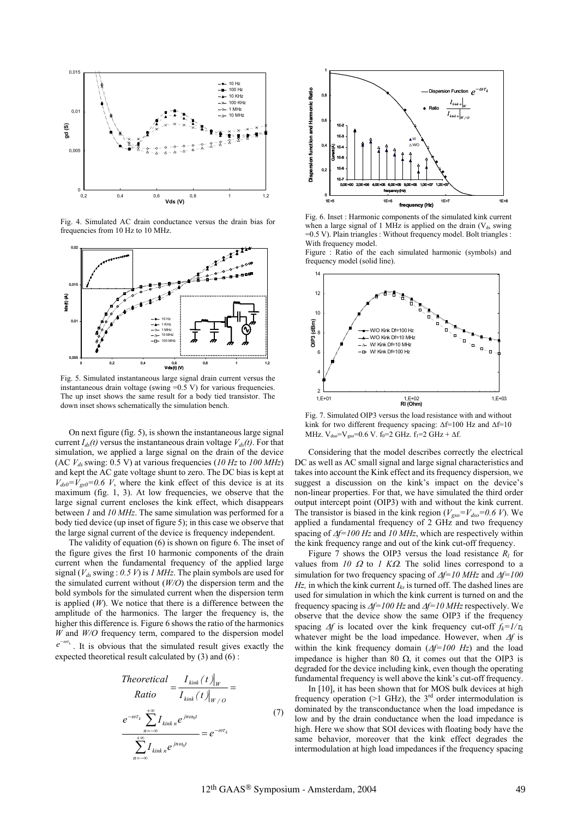

Fig. 4. Simulated AC drain conductance versus the drain bias for frequencies from 10 Hz to 10 MHz.



Fig. 5. Simulated instantaneous large signal drain current versus the instantaneous drain voltage (swing  $=0.5$  V) for various frequencies. The up inset shows the same result for a body tied transistor. The down inset shows schematically the simulation bench.

On next figure (fig. 5), is shown the instantaneous large signal MHz.  $V_{ds0} = V_{gs0} = 0.6 V$ .  $f_0 = 2 GHz$ .  $f_1 = 2 GHz + Af$ . current  $I_{ds}(t)$  versus the instantaneous drain voltage  $V_{ds}(t)$ . For that simulation, we applied a large signal on the drain of the device (AC *Vds* swing: 0.5 V) at various frequencies (*10 Hz* to *100 MHz*) and kept the AC gate voltage shunt to zero. The DC bias is kept at  $V_{ds0} = V_{gs0} = 0.6$  V, where the kink effect of this device is at its maximum (fig. 1, 3). At low frequencies, we observe that the large signal current encloses the kink effect, which disappears between *1* and *10 MHz*. The same simulation was performed for a body tied device (up inset of figure 5); in this case we observe that the large signal current of the device is frequency independent.

The validity of equation (6) is shown on figure 6. The inset of the figure gives the first 10 harmonic components of the drain current when the fundamental frequency of the applied large signal ( $V_{ds}$  swing : 0.5 V) is 1 MHz. The plain symbols are used for the simulated current without (*W/O*) the dispersion term and the bold symbols for the simulated current when the dispersion term is applied (*W*). We notice that there is a difference between the amplitude of the harmonics. The larger the frequency is, the higher this difference is. Figure 6 shows the ratio of the harmonics *W* and *W/O* frequency term, compared to the dispersion model  $e^{-\omega t_k}$ . It is obvious that the simulated result gives exactly the expected theoretical result calculated by (3) and (6) :

Theoretical  
\nRatio 
$$
= \frac{I_{kink}(t)|_W}{I_{kink}(t)|_{W/O}} =
$$
\n
$$
e^{-\omega t_k} \sum_{n=-\infty}^{+\infty} I_{kink n} e^{jn\omega_0 t}
$$
\n
$$
= e^{-\omega t_k}
$$
\n
$$
\sum_{n=-\infty}^{+\infty} I_{kink n} e^{jn\omega_0 t}
$$
\n(7)



Fig. 6. Inset : Harmonic components of the simulated kink current when a large signal of 1 MHz is applied on the drain  $(V_{ds}$  swing =0.5 V). Plain triangles : Without frequency model. Bolt triangles : With frequency model.

Figure : Ratio of the each simulated harmonic (symbols) and frequency model (solid line).



Fig. 7. Simulated OIP3 versus the load resistance with and without kink for two different frequency spacing:  $\Delta f=100$  Hz and  $\Delta f=10$ 

Considering that the model describes correctly the electrical DC as well as AC small signal and large signal characteristics and takes into account the Kink effect and its frequency dispersion, we suggest a discussion on the kink's impact on the device's non-linear properties. For that, we have simulated the third order output intercept point (OIP3) with and without the kink current. The transistor is biased in the kink region ( $V_{\text{gso}}=V_{\text{dso}}=0.6$  V). We applied a fundamental frequency of 2 GHz and two frequency spacing of  $\Delta f$ =100 Hz and 10 MHz, which are respectively within the kink frequency range and out of the kink cut-off frequency.

Figure  $\overline{7}$  shows the OIP3 versus the load resistance  $R_l$  for values from  $10 \Omega$  to  $1 K\Omega$ . The solid lines correspond to a simulation for two frequency spacing of  $\Delta f=10$  MHz and  $\Delta f=100$ *Hz*, in which the kink current  $I_{ks}$  is turned off. The dashed lines are used for simulation in which the kink current is turned on and the frequency spacing is  $\Delta f=100$  Hz and  $\Delta f=10$  MHz respectively. We observe that the device show the same OIP3 if the frequency spacing  $\Delta f$  is located over the kink frequency cut-off  $f_k = 1/\tau_k$ whatever might be the load impedance. However, when  $\Delta f$  is within the kink frequency domain  $(\Delta f=100 \text{ Hz})$  and the load impedance is higher than 80  $\Omega$ , it comes out that the OIP3 is degraded for the device including kink, even though the operating fundamental frequency is well above the kink's cut-off frequency.

In [10], it has been shown that for MOS bulk devices at high frequency operation (>1 GHz), the  $3<sup>rd</sup>$  order intermodulation is dominated by the transconductance when the load impedance is low and by the drain conductance when the load impedance is high. Here we show that SOI devices with floating body have the same behavior, moreover that the kink effect degrades the intermodulation at high load impedances if the frequency spacing